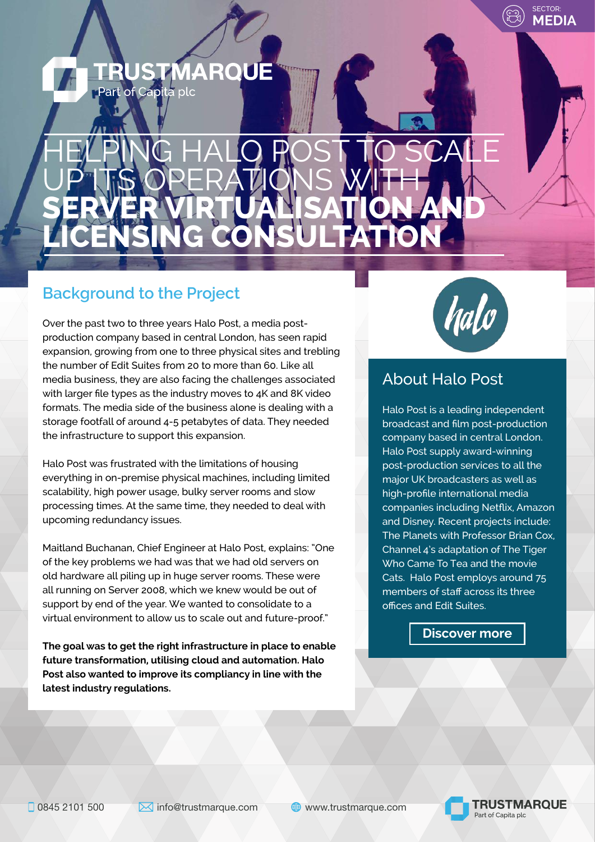## **JSTMARQUE** Part of Capita plc

# HELPING HALO POST TO SCALE UP ITS OPERATIONS WITH **SERVER VIRTUALISATION AND LICENSING CONSULTATION**

# **Background to the Project**

Over the past two to three years Halo Post, a media postproduction company based in central London, has seen rapid expansion, growing from one to three physical sites and trebling the number of Edit Suites from 20 to more than 60. Like all media business, they are also facing the challenges associated with larger file types as the industry moves to 4K and 8K video formats. The media side of the business alone is dealing with a storage footfall of around 4-5 petabytes of data. They needed the infrastructure to support this expansion.

Halo Post was frustrated with the limitations of housing everything in on-premise physical machines, including limited scalability, high power usage, bulky server rooms and slow processing times. At the same time, they needed to deal with upcoming redundancy issues.

Maitland Buchanan, Chief Engineer at Halo Post, explains: "One of the key problems we had was that we had old servers on old hardware all piling up in huge server rooms. These were all running on Server 2008, which we knew would be out of support by end of the year. We wanted to consolidate to a virtual environment to allow us to scale out and future-proof."

**The goal was to get the right infrastructure in place to enable future transformation, utilising cloud and automation. Halo Post also wanted to improve its compliancy in line with the latest industry regulations.**



SECTOR: **MEDIA**

# About Halo Post

Halo Post is a leading independent broadcast and film post-production company based in central London. Halo Post supply award-winning post-production services to all the major UK broadcasters as well as high-profile international media companies including Netflix, Amazon and Disney. Recent projects include: The Planets with Professor Brian Cox, Channel 4's adaptation of The Tiger Who Came To Tea and the movie Cats. Halo Post employs around 75 members of staff across its three offices and Edit Suites.



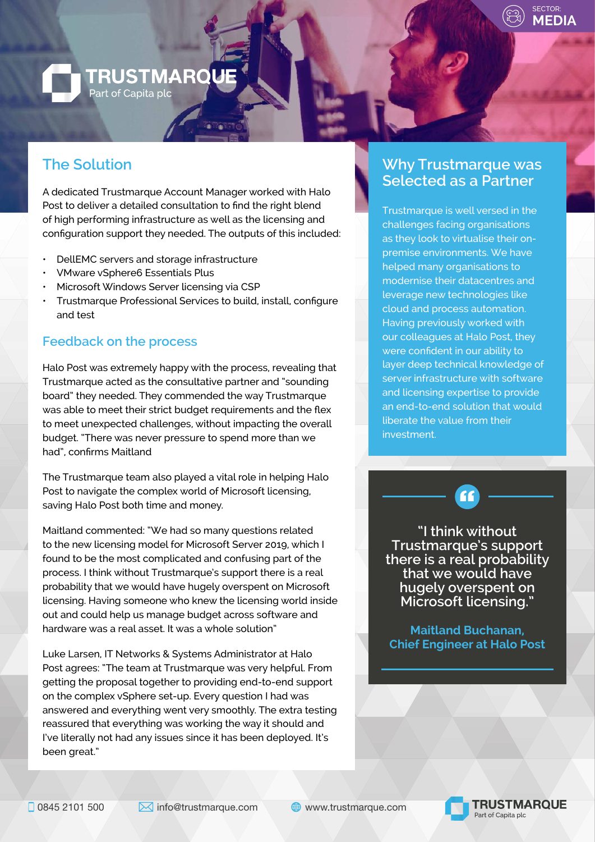

## **TRUSTMARQUE** Part of Capita plc

#### **The Solution**

A dedicated Trustmarque Account Manager worked with Halo Post to deliver a detailed consultation to find the right blend of high performing infrastructure as well as the licensing and configuration support they needed. The outputs of this included:

- DellEMC servers and storage infrastructure
- VMware vSphere6 Essentials Plus
- Microsoft Windows Server licensing via CSP
- Trustmarque Professional Services to build, install, configure and test

#### **Feedback on the process**

Halo Post was extremely happy with the process, revealing that Trustmarque acted as the consultative partner and "sounding board" they needed. They commended the way Trustmarque was able to meet their strict budget requirements and the flex to meet unexpected challenges, without impacting the overall budget. "There was never pressure to spend more than we had", confirms Maitland

The Trustmarque team also played a vital role in helping Halo Post to navigate the complex world of Microsoft licensing, saving Halo Post both time and money.

Maitland commented: "We had so many questions related to the new licensing model for Microsoft Server 2019, which I found to be the most complicated and confusing part of the process. I think without Trustmarque's support there is a real probability that we would have hugely overspent on Microsoft licensing. Having someone who knew the licensing world inside out and could help us manage budget across software and hardware was a real asset. It was a whole solution"

Luke Larsen, IT Networks & Systems Administrator at Halo Post agrees: "The team at Trustmarque was very helpful. From getting the proposal together to providing end-to-end support on the complex vSphere set-up. Every question I had was answered and everything went very smoothly. The extra testing reassured that everything was working the way it should and I've literally not had any issues since it has been deployed. It's been great."

#### **Why Trustmarque was Selected as a Partner**

Trustmarque is well versed in the challenges facing organisations as they look to virtualise their onpremise environments. We have helped many organisations to modernise their datacentres and leverage new technologies like cloud and process automation. Having previously worked with our colleagues at Halo Post, they were confident in our ability to layer deep technical knowledge of server infrastructure with software and licensing expertise to provide an end-to-end solution that would liberate the value from their investment.

**"I think without Trustmarque's support there is a real probability that we would have hugely overspent on Microsoft licensing."**

 $\mathbf{f}$ 

**Maitland Buchanan, Chief Engineer at Halo Post**